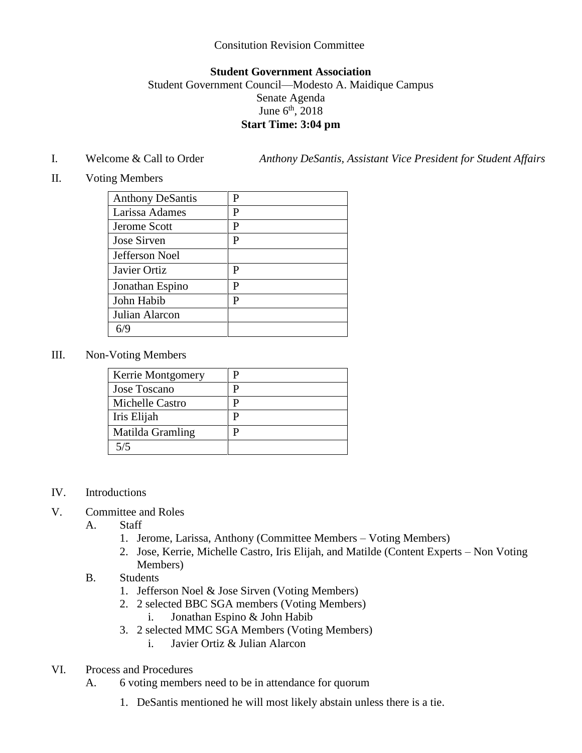## Consitution Revision Committee

## **Student Government Association**

## Student Government Council—Modesto A. Maidique Campus Senate Agenda June  $6<sup>th</sup>$ , 2018 **Start Time: 3:04 pm**

I. Welcome & Call to Order *Anthony DeSantis, Assistant Vice President for Student Affairs*

II. Voting Members

| <b>Anthony DeSantis</b> | P |
|-------------------------|---|
| Larissa Adames          | P |
| Jerome Scott            | P |
| Jose Sirven             | P |
| Jefferson Noel          |   |
| Javier Ortiz            | P |
| Jonathan Espino         | P |
| John Habib              | P |
| Julian Alarcon          |   |
|                         |   |

III. Non-Voting Members

| Kerrie Montgomery |   |
|-------------------|---|
| Jose Toscano      | υ |
| Michelle Castro   |   |
| Iris Elijah       |   |
| Matilda Gramling  |   |
| 5/5               |   |

- IV. Introductions
- V. Committee and Roles
	- A. Staff
		- 1. Jerome, Larissa, Anthony (Committee Members Voting Members)
		- 2. Jose, Kerrie, Michelle Castro, Iris Elijah, and Matilde (Content Experts Non Voting Members)
	- B. Students
		- 1. Jefferson Noel & Jose Sirven (Voting Members)
		- 2. 2 selected BBC SGA members (Voting Members)
			- i. Jonathan Espino & John Habib
		- 3. 2 selected MMC SGA Members (Voting Members)
			- i. Javier Ortiz & Julian Alarcon
- VI. Process and Procedures
	- A. 6 voting members need to be in attendance for quorum
		- 1. DeSantis mentioned he will most likely abstain unless there is a tie.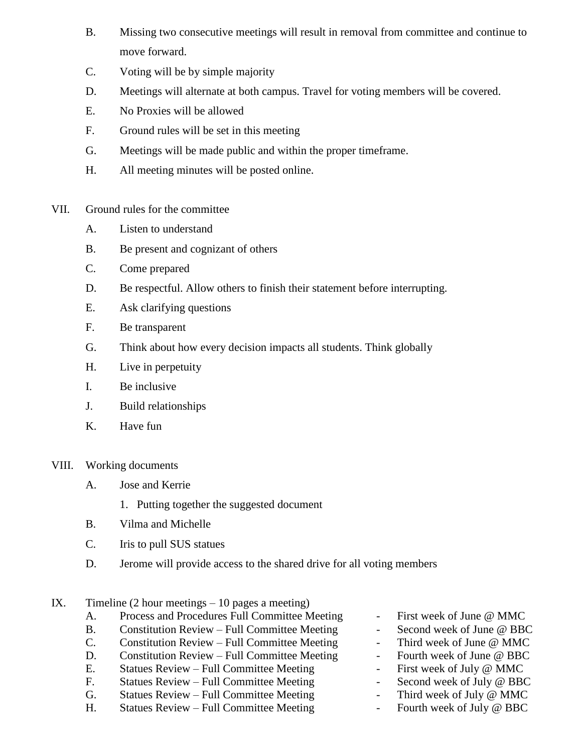- B. Missing two consecutive meetings will result in removal from committee and continue to move forward.
- C. Voting will be by simple majority
- D. Meetings will alternate at both campus. Travel for voting members will be covered.
- E. No Proxies will be allowed
- F. Ground rules will be set in this meeting
- G. Meetings will be made public and within the proper timeframe.
- H. All meeting minutes will be posted online.
- VII. Ground rules for the committee
	- A. Listen to understand
	- B. Be present and cognizant of others
	- C. Come prepared
	- D. Be respectful. Allow others to finish their statement before interrupting.
	- E. Ask clarifying questions
	- F. Be transparent
	- G. Think about how every decision impacts all students. Think globally
	- H. Live in perpetuity
	- I. Be inclusive
	- J. Build relationships
	- K. Have fun
- VIII. Working documents
	- A. Jose and Kerrie
		- 1. Putting together the suggested document
	- B. Vilma and Michelle
	- C. Iris to pull SUS statues
	- D. Jerome will provide access to the shared drive for all voting members
- IX. Timeline  $(2 \text{ hour meetings} 10 \text{ pages a meeting})$ 
	- A. Process and Procedures Full Committee Meeting First week of June @ MMC
	- B. Constitution Review Full Committee Meeting Second week of June @ BBC
	- C. Constitution Review Full Committee Meeting Third week of June @ MMC
	- D. Constitution Review Full Committee Meeting Fourth week of June @ BBC
	- E. Statues Review Full Committee Meeting First week of July @ MMC
	- F. Statues Review Full Committee Meeting Franch Second week of July @ BBC
	- G. Statues Review Full Committee Meeting Third week of July @ MMC
	- H. Statues Review Full Committee Meeting Fourth week of July @ BBC
- 
- 
- 
- 
- 
- 
- 
-